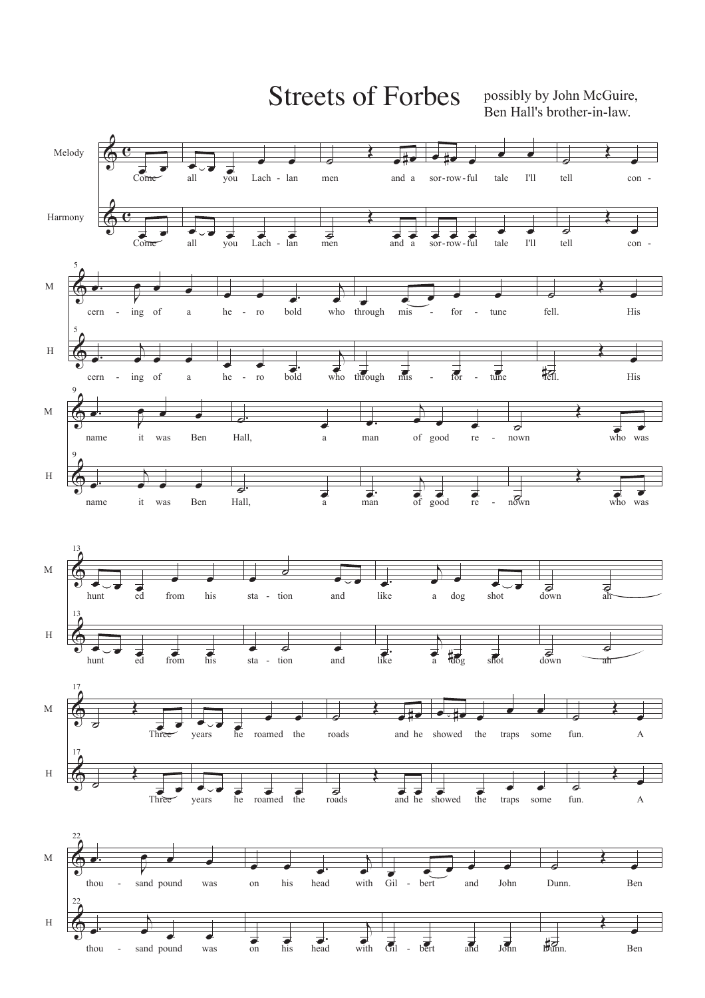Streets of Forbes possibly by John McGuire,

Ben Hall's brother-in-law.

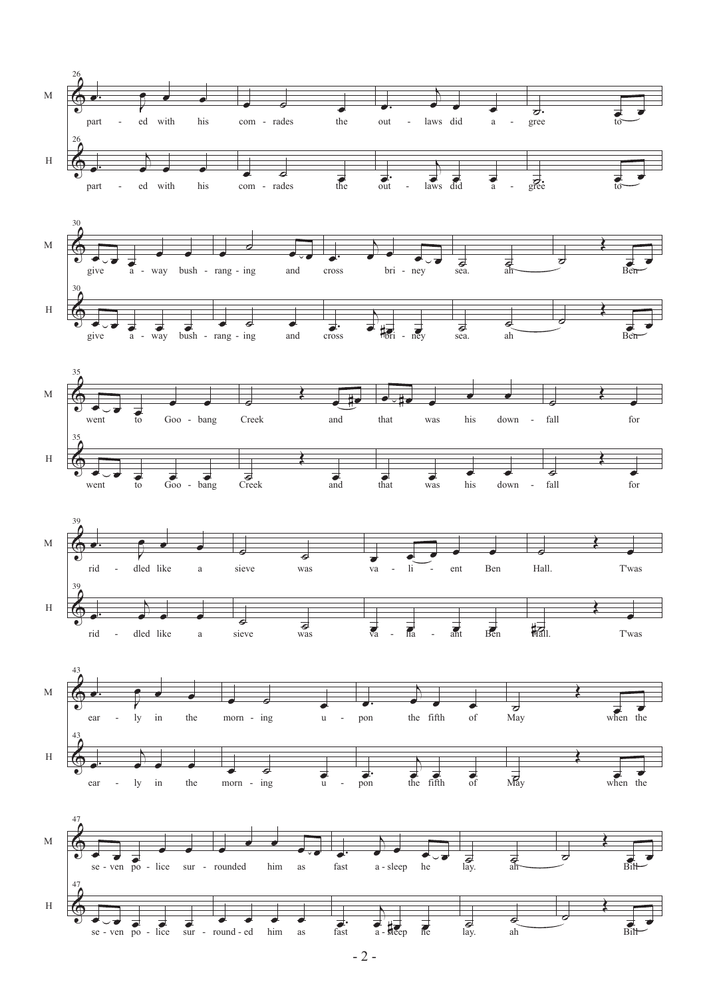